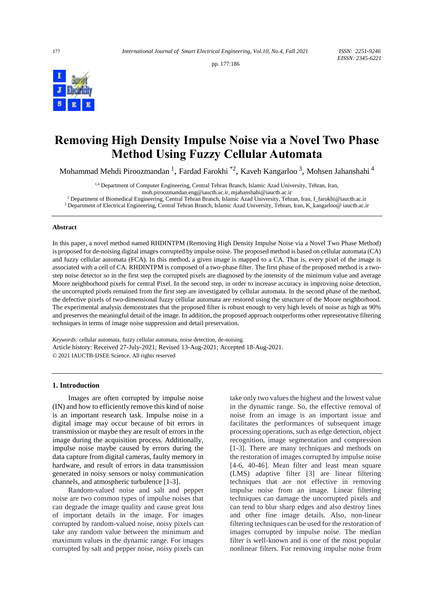pp. 177:186



# **Removing High Density Impulse Noise via a Novel Two Phase Method Using Fuzzy Cellular Automata**

Mohammad Mehdi Piroozmandan  $^1$ , Fardad Farokhi  $^*$ 2, Kaveh Kangarloo  $^3$ , Mohsen Jahanshahi  $^4$ 

1,4 Department of Computer Engineering, Central Tehran Branch, Islamic Azad University, Tehran, Iran,

[moh.piroozmandan.eng@iauctb.ac.ir,](mailto:moh.piroozmandan.eng@iauctb.ac.ir) mjahanshahi@iauctb.ac.ir

<sup>2</sup> Department of Biomedical Engineering, Central Tehran Branch, Islamic Azad University, Tehran, Iran, f\_farokhi@iauctb.ac.ir

<sup>3</sup> Department of Electrical Engineering, Central Tehran Branch, Islamic Azad University, Tehran, Iran, K\_kangarloo@ iauctb.ac.ir

#### **Abstract**

In this paper, a novel method named RHDINTPM (Removing High Density Impulse Noise via a Novel Two Phase Method) is proposed for de-noising digital images corrupted by impulse noise. The proposed method is based on cellular automata (CA) and fuzzy cellular automata (FCA). In this method, a given image is mapped to a CA. That is, every pixel of the image is associated with a cell of CA. RHDINTPM is composed of a two-phase filter. The first phase of the proposed method is a twostep noise detector so in the first step the corrupted pixels are diagnosed by the intensity of the minimum value and average Moore neighborhood pixels for central Pixel. In the second step, in order to increase accuracy in improving noise detection, the uncorrupted pixels remained from the first step are investigated by cellular automata. In the second phase of the method, the defective pixels of two-dimensional fuzzy cellular automata are restored using the structure of the Moore neighborhood. The experimental analysis demonstrates that the proposed filter is robust enough to very high levels of noise as high as 90% and preserves the meaningful detail of the image. In addition, the proposed approach outperforms other representative filtering techniques in terms of image noise suppression and detail preservation.

*Keywords:* cellular automata, fuzzy cellular automata, noise detection, de-noising. Article history: Received 27-July-2021; Revised 13-Aug-2021; Accepted 18-Aug-2021. © 2021 IAUCTB-IJSEE Science. All rights reserved

#### **1. Introduction**

Images are often corrupted by impulse noise (IN) and how to efficiently remove this kind of noise is an important research task. Impulse noise in a digital image may occur because of bit errors in transmission or maybe they are result of errors in the image during the acquisition process. Additionally, impulse noise maybe caused by errors during the data capture from digital cameras, faulty memory in hardware, and result of errors in data transmission generated in noisy sensors or noisy communication channels, and atmospheric turbulence [1-3].

Random-valued noise and salt and pepper noise are two common types of impulse noises that can degrade the image quality and cause great loss of important details in the image. For images corrupted by random-valued noise, noisy pixels can take any random value between the minimum and maximum values in the dynamic range. For images corrupted by salt and pepper noise, noisy pixels can

take only two values the highest and the lowest value in the dynamic range. So, the effective removal of noise from an image is an important issue and facilitates the performances of subsequent image processing operations, such as edge detection, object recognition, image segmentation and compression [1-3]. There are many techniques and methods on the restoration of images corrupted by impulse noise [4-6, 40-46]. Mean filter and least mean square (LMS) adaptive filter [3] are linear filtering techniques that are not effective in removing impulse noise from an image. Linear filtering techniques can damage the uncorrupted pixels and can tend to blur sharp edges and also destroy lines and other fine image details. Also, non-linear filtering techniques can be used for the restoration of images corrupted by impulse noise. The median filter is well-known and is one of the most popular nonlinear filters. For removing impulse noise from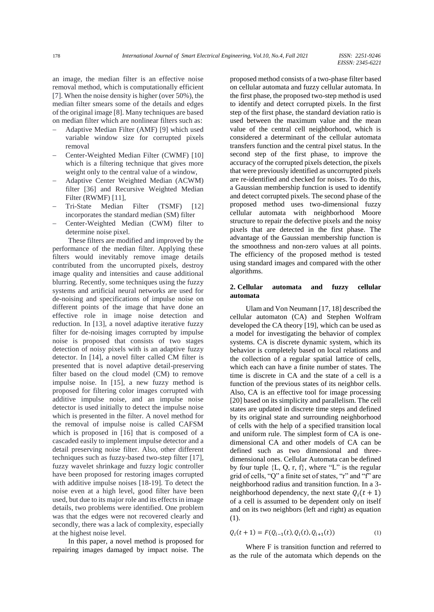an image, the median filter is an effective noise removal method, which is computationally efficient [7]. When the noise density is higher (over 50%), the median filter smears some of the details and edges of the original image [8]. Many techniques are based on median filter which are nonlinear filters such as:

- − Adaptive Median Filter (AMF) [9] which used variable window size for corrupted pixels removal
- − Center-Weighted Median Filter (CWMF) [10] which is a filtering technique that gives more weight only to the central value of a window,
- − Adaptive Center Weighted Median (ACWM) filter [36] and Recursive Weighted Median Filter (RWMF) [11],
- Tri-State Median Filter (TSMF) [12] incorporates the standard median (SM) filter
- − Center-Weighted Median (CWM) filter to determine noise pixel.

These filters are modified and improved by the performance of the median filter. Applying these filters would inevitably remove image details contributed from the uncorrupted pixels, destroy image quality and intensities and cause additional blurring. Recently, some techniques using the fuzzy systems and artificial neural networks are used for de-noising and specifications of impulse noise on different points of the image that have done an effective role in image noise detection and reduction. In [13], a novel adaptive iterative fuzzy filter for de-noising images corrupted by impulse noise is proposed that consists of two stages detection of noisy pixels with is an adaptive fuzzy detector. In [14], a novel filter called CM filter is presented that is novel adaptive detail-preserving filter based on the cloud model (CM) to remove impulse noise. In [15], a new fuzzy method is proposed for filtering color images corrupted with additive impulse noise, and an impulse noise detector is used initially to detect the impulse noise which is presented in the filter. A novel method for the removal of impulse noise is called CAFSM which is proposed in [16] that is composed of a cascaded easily to implement impulse detector and a detail preserving noise filter. Also, other different techniques such as fuzzy-based two-step filter [17], fuzzy wavelet shrinkage and fuzzy logic controller have been proposed for restoring images corrupted with additive impulse noises [18-19]. To detect the noise even at a high level, good filter have been used, but due to its major role and its effects in image details, two problems were identified. One problem was that the edges were not recovered clearly and secondly, there was a lack of complexity, especially at the highest noise level.

In this paper, a novel method is proposed for repairing images damaged by impact noise. The proposed method consists of a two-phase filter based on cellular automata and fuzzy cellular automata. In the first phase, the proposed two-step method is used to identify and detect corrupted pixels. In the first step of the first phase, the standard deviation ratio is used between the maximum value and the mean value of the central cell neighborhood, which is considered a determinant of the cellular automata transfers function and the central pixel status. In the second step of the first phase, to improve the accuracy of the corrupted pixels detection, the pixels that were previously identified as uncorrupted pixels are re-identified and checked for noises. To do this, a Gaussian membership function is used to identify and detect corrupted pixels. The second phase of the proposed method uses two-dimensional fuzzy cellular automata with neighborhood Moore structure to repair the defective pixels and the noisy pixels that are detected in the first phase. The advantage of the Gaussian membership function is the smoothness and non-zero values at all points. The efficiency of the proposed method is tested using standard images and compared with the other algorithms.

# **2. Cellular automata and fuzzy cellular automata**

Ulam and Von Neumann [17, 18] described the cellular automaton (CA) and Stephen Wolfram developed the CA theory [19], which can be used as a model for investigating the behavior of complex systems. CA is discrete dynamic system, which its behavior is completely based on local relations and the collection of a regular spatial lattice of cells, which each can have a finite number of states. The time is discrete in CA and the state of a cell is a function of the previous states of its neighbor cells. Also, CA is an effective tool for image processing [20] based on its simplicity and parallelism. The cell states are updated in discrete time steps and defined by its original state and surrounding neighborhood of cells with the help of a specified transition local and uniform rule. The simplest form of CA is onedimensional CA and other models of CA can be defined such as two dimensional and threedimensional ones. Cellular Automata can be defined by four tuple  ${L, Q, r, f}$ , where "L" is the regular grid of cells, "Q" a finite set of states, "r" and "f" are neighborhood radius and transition function. In a 3 neighborhood dependency, the next state  $Q_i(t + 1)$ of a cell is assumed to be dependent only on itself and on its two neighbors (left and right) as equation (1).

$$
Q_i(t+1) = F(Q_{i-1}(t), Q_i(t), Q_{i+1}(t))
$$
\n(1)

Where F is transition function and referred to as the rule of the automata which depends on the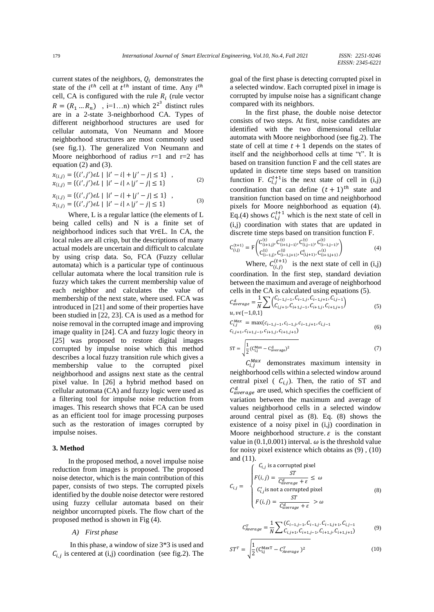current states of the neighbors,  $Q_i$  demonstrates the state of the  $i^{th}$  cell at  $t^{th}$  instant of time. Any  $i^{th}$ cell, CA is configured with the rule  $R_i$  (rule vector  $R = (R_1 ... R_n)$ , i=1...n) which  $2^{2^3}$  distinct rules are in a 2-state 3-neighborhood CA. Types of different neighborhood structures are used for cellular automata, Von Neumann and Moore neighborhood structures are most commonly used (see fig.1). The generalized Von Neumann and Moore neighborhood of radius  $r=1$  and  $r=2$  has equation (2) and (3).

$$
x_{(i,j)} = \{(i',j')\in L \mid |i'-i|+|j'-j| \le 1\},
$$
  
\n
$$
x_{(i,j)} = \{(i',j')\in L \mid |i'-i| \land |j'-j| \le 1\}
$$
\n
$$
(2)
$$

$$
x_{(i,j)} = \{(i',j')\in L \mid |i'-i|+|j'-j| \le 1\},x_{(i,j)} = \{(i',j')\in L \mid |i'-i| \wedge |j'-j| \le 1\}
$$
 (3)

Where, L is a regular lattice (the elements of L being called cells) and N is a finite set of neighborhood indices such that ∀r∈L. In CA, the local rules are all crisp, but the descriptions of many actual models are uncertain and difficult to calculate by using crisp data. So, FCA (Fuzzy cellular automata) which is a particular type of continuous cellular automata where the local transition rule is fuzzy which takes the current membership value of each neighbor and calculates the value of membership of the next state, where used. FCA was introduced in [21] and some of their properties have been studied in [22, 23]. CA is used as a method for noise removal in the corrupted image and improving image quality in [24]. CA and fuzzy logic theory in [25] was proposed to restore digital images corrupted by impulse noise which this method describes a local fuzzy transition rule which gives a membership value to the corrupted pixel neighborhood and assigns next state as the central pixel value. In [26] a hybrid method based on cellular automata (CA) and fuzzy logic were used as a filtering tool for impulse noise reduction from images. This research shows that FCA can be used as an efficient tool for image processing purposes such as the restoration of images corrupted by impulse noises.

## **3. Method**

In the proposed method, a novel impulse noise reduction from images is proposed. The proposed noise detector, which is the main contribution of this paper, consists of two steps. The corrupted pixels identified by the double noise detector were restored using fuzzy cellular automata based on their neighbor uncorrupted pixels. The flow chart of the proposed method is shown in Fig (4).

#### *A) First phase*

In this phase, a window of size 3\*3 is used and  $C_{i,j}$  is centered at (i,j) coordination (see fig.2). The goal of the first phase is detecting corrupted pixel in a selected window. Each corrupted pixel in image is corrupted by impulse noise has a significant change compared with its neighbors.

In the first phase, the double noise detector consists of two steps. At first, noise candidates are identified with the two dimensional cellular automata with Moore neighborhood (see fig.2). The state of cell at time  $t + 1$  depends on the states of itself and the neighborhood cells at time "t". It is based on transition function F and the cell states are updated in discrete time steps based on transition function F.  $C_{i,j}^{t+1}$  is the next state of cell in (i,j) coordination that can define  $(t + 1)^{th}$  state and transition function based on time and neighborhood pixels for Moore neighborhood as equation (4). Eq.(4) shows  $C_{i,j}^{t+1}$  which is the next state of cell in (i,j) coordination with states that are updated in discrete time steps based on transition function F.

$$
C_{(i,j)}^{(t+1)} = F \begin{pmatrix} C_{(i+1,j)}^{(t)}, C_{(i+1,j-1)}^{(t)}, C_{(i,j-1)}^{(t)}, C_{(i-1,j-1)}^{(t)}, \\ C_{(i-1,j)}^{(t)}, C_{(i-1,j+1)}^{(t)}, C_{(i,j+1)}^{(t)}, C_{(i+1,j+1)}^{(t)} \end{pmatrix} \tag{4}
$$

Where,  $C_{(i,j)}^{(t+1)}$  is the next state of cell in (i,j) coordination. In the first step, standard deviation between the maximum and average of neighborhood cells in the CA is calculated using equations (5).

$$
C_{average}^{d} = \frac{1}{N} \sum \left( C_{i-1,j-1}, C_{i-1,j}, C_{i-1,j+1}, C_{i,j-1} \right)
$$
  
 
$$
u, v \in \{-1, 0, 1\}
$$
 (5)

$$
C_{i,j}^{Max} = \max(c_{i-1,j-1}, c_{i-1,j}, c_{i-1,j+1}, c_{i,j-1}
$$
  

$$
c_{i,j+1}, c_{i+1,j-1}, c_{i+1,j}, c_{i+1,j+1})
$$
 (6)

$$
ST = \sqrt{\frac{1}{2} (C_{i,j}^{Max} - C_{average}^{d})^2}
$$
 (7)

 $C_{i,j}^{Max}$  demonstrates maximum intensity in neighborhood cells within a selected window around central pixel ( $C_{i,j}$ ). Then, the ratio of ST and  $C_{average}^d$  are used, which specifies the coefficient of variation between the maximum and average of values neighborhood cells in a selected window around central pixel as (8). Eq. (8) shows the existence of a noisy pixel in (i,j) coordination in Moore neighborhood structure.  $\varepsilon$  is the constant value in  $(0.1, 0.001)$  interval.  $\omega$  is the threshold value for noisy pixel existence which obtains as (9) , (10) and (11).

$$
C_{i,j} = \begin{cases} C_{i,j} \text{ is a corrupted pixel} \\ F(i,j) = \frac{ST}{C_{average}^d + \varepsilon} \le \omega \\ C'_{i,j} \text{ is not a corrupted pixel} \\ F(i,j) = \frac{ST}{C_{average}^d + \varepsilon} > \omega \end{cases}
$$
(8)

$$
C_{Average}^{T} = \frac{1}{N} \sum_{i,j+1}^{N} \sum_{i=1,j-1}^{K} \sum_{i=1,j}^{C_{i-1,j}} \sum_{i=1,j}^{C_{i-1,j}} \sum_{i=1,j}^{C_{i-1,j+1}} \sum_{i=1,j+1}^{C_{i,j-1}} \tag{9}
$$

$$
ST^{T} = \sqrt{\frac{1}{2} \left( C_{i,j}^{\text{MaxT}} - C_{Average}^{T} \right)^{2}}
$$
 (10)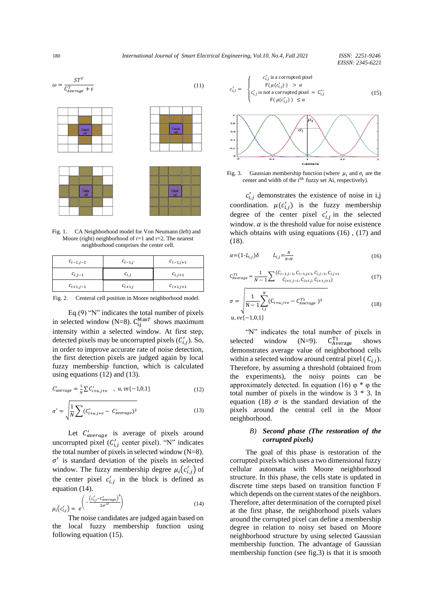

Fig. 1. CA Neighborhood model for Von Neumann (left) and Moore (right) neighborhood of  $r=1$  and  $r=2$ . The nearest neighborhood comprises the center cell.

| $c_{i-1,j-1}$ | $c_{i-1,j}$ | $c_{i-1,j+1}$ |
|---------------|-------------|---------------|
| $c_{i,j-1}$   | $c_{i,j}$   | $c_{i,j+1}$   |
| $c_{i+1,j-1}$ | $c_{i+1,j}$ | $c_{i+1,j+1}$ |

Fig. 2. Centeral cell position in Moore neighborhood model.

Eq.(9) "N" indicates the total number of pixels in selected window (N=8).  $C_{i,j}^{MaxT}$  shows maximum intensity within a selected window. At first step, detected pixels may be uncorrupted pixels  $(C'_{i,j})$ . So, in order to improve accurate rate of noise detection, the first detection pixels are judged again by local fuzzy membership function, which is calculated using equations (12) and (13).

$$
C'_{average} = \frac{1}{N} \sum C'_{i+u,j+v} \quad , \quad u, v \in \{-1, 0, 1\}
$$
 (12)

$$
\sigma' = \sqrt{\frac{1}{N} \sum (C'_{i+u,j+v} - C'_{average})^2}
$$
\n(13)

Let  $C'_{average}$  is average of pixels around uncorrupted pixel  $(C'_{i,j}$  center pixel). "N" indicates the total number of pixels in selected window  $(N=8)$ .  $\sigma'$  is standard deviation of the pixels in selected window. The fuzzy membership degree  $\mu_i(c'_{i,j})$  of the center pixel  $c'_{i,j}$  in the block is defined as equation (14).

$$
\mu_i(c'_{i,j}) = e^{\left(-\frac{\left(c'_{i,j} - c'_{average}\right)^2}{2\sigma'^2}\right)}
$$
\n(14)

The noise candidates are judged again based on the local fuzzy membership function using following equation (15).

$$
c'_{i,j} = \begin{cases} c'_{i,j} \text{ is a corrupted pixel} \\ F(\mu(c'_{i,j})) > \alpha \\ c'_{i,j} \text{ is not a corrupted pixel} = C''_{i,j} \\ F(\mu(c'_{i,j})) \le \alpha \end{cases}
$$
(15)



Fig. 3. Gaussian membership function (where  $\mu_i$  and  $\sigma_i$  are the center and width of the  $i^{th}$  fuzzy set Ai, respectively).

 $c'_{i,j}$  demonstrates the existence of noise in i,j coordination.  $\mu(c'_{i,j})$  is the fuzzy membership degree of the center pixel  $c'_{i,j}$  in the selected window.  $\alpha$  is the threshold value for noise existence which obtains with using equations (16) , (17) and (18).

$$
\alpha = (1 - L_{i,j})\delta \qquad L_{i,j} = \frac{N}{N*N} \tag{16}
$$

$$
C_{Average}^{T1} = \frac{1}{N-1} \sum_{i=1, j-1, c_{i-1,j-1}}^{(C_{i-1,j-1}, C_{i-1,j+1}, C_{i,j-1}, C_{i,j+1})} C_{i+1,j+1}^{T1} \tag{17}
$$

$$
\sigma = \sqrt{\frac{1}{N-1} \sum_{i,j}^{N} (C_{i+u,j+v} - C_{Average}^{T1})^2}
$$
\n
$$
u, v\epsilon \{-1, 0, 1\}
$$
\n(18)

"N" indicates the total number of pixels in selected window  $(N=9)$ .  $C_{\text{Average}}^{\text{T1}}$ shows demonstrates average value of neighborhood cells within a selected window around central pixel ( $C_{i,j}$ ). Therefore, by assuming a threshold (obtained from the experiments), the noisy points can be approximately detected. In equation (16)  $\varphi$  \*  $\varphi$  the total number of pixels in the window is 3 \* 3. In equation (18)  $\sigma$  is the standard deviation of the pixels around the central cell in the Moor neighborhood.

### *B) Second phase (The restoration of the corrupted pixels)*

The goal of this phase is restoration of the corrupted pixels which uses a two dimensional fuzzy cellular automata with Moore neighborhood structure. In this phase, the cells state is updated in discrete time steps based on transition function F which depends on the current states of the neighbors. Therefore, after determination of the corrupted pixel at the first phase, the neighborhood pixels values around the corrupted pixel can define a membership degree in relation to noisy set based on Moore neighborhood structure by using selected Gaussian membership function. The advantage of Gaussian membership function (see fig.3) is that it is smooth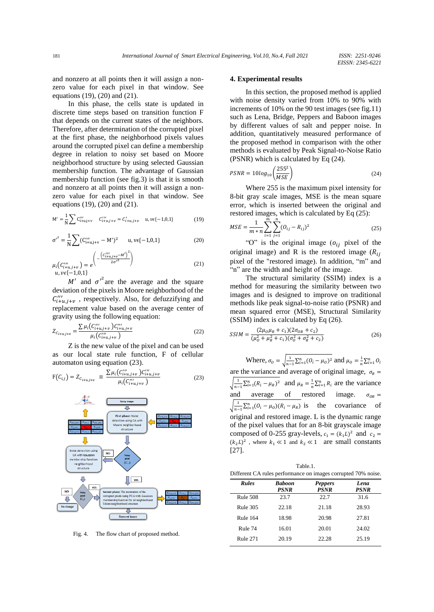and nonzero at all points then it will assign a nonzero value for each pixel in that window. See equations (19), (20) and (21).

In this phase, the cells state is updated in discrete time steps based on transition function F that depends on the current states of the neighbors. Therefore, after determination of the corrupted pixel at the first phase, the neighborhood pixels values around the corrupted pixel can define a membership degree in relation to noisy set based on Moore neighborhood structure by using selected Gaussian membership function. The advantage of Gaussian membership function (see fig.3) is that it is smooth and nonzero at all points then it will assign a nonzero value for each pixel in that window. See equations (19), (20) and (21).

$$
M' = \frac{1}{N} \sum C_{i+u,j+v}''' \quad C_{i+u,j+v}''' = C_{i+u,j+v}'+ u, \nu \in \{-1,0,1\}
$$
 (19)

$$
{\sigma'}^2 = \frac{1}{N} \sum (\mathbf{C}_{i+u,j+v}''' - \mathbf{M}')^2 \qquad \mathbf{u}, \mathbf{v} \in [-1, 0, 1]
$$
 (20)

$$
\mu_i(C_{i+u,j+v}^{\prime\prime\prime}) = e^{\left(-\frac{(C_{i+u,j+v}^{\prime\prime}-M')^2}{2\sigma'^2}\right)}
$$
\n
$$
u, v\epsilon\{-1, 0, 1\}
$$
\n(21)

 $u, v \epsilon \{-1,0,1\}$ 

M' and  ${\sigma'}^2$  are the average and the square deviation of the pixels in Moore neighborhood of the  $C'''_{i+u,j+v}$ , respectively. Also, for defuzzifying and replacement value based on the average center of gravity using the following equation:

$$
Z_{C_{i+u,j+v}} = \frac{\sum \mu_i \left( C_{i+u,j+v}^{\prime \prime} \right) C_{i+u,j+v}^{\prime \prime \prime}}{\mu_i \left( C_{i+u,j+v}^{\prime \prime} \right)} \tag{22}
$$

Z is the new value of the pixel and can be used as our local state rule function, F of cellular automaton using equation (23).

$$
F(C_{i,j}) = Z_{C_{i+u,j+v}} \equiv \frac{\sum \mu_i (C_{i+u,j+v}^{\prime\prime\prime}) C_{i+u,j+v}^{\prime\prime\prime}}{\mu_i (C_{i+u,j+v}^{\prime\prime\prime})}
$$
(23)



Fig. 4. The flow chart of proposed method.

## **4. Experimental results**

In this section, the proposed method is applied with noise density varied from 10% to 90% with increments of 10% on the 90 test images (see fig.11) such as Lena, Bridge, Peppers and Baboon images by different values of salt and pepper noise. In addition, quantitatively measured performance of the proposed method in comparison with the other methods is evaluated by Peak Signal-to-Noise Ratio (PSNR) which is calculated by Eq (24).

$$
PSNR = 10\log_{10}\left(\frac{255^2}{MSE}\right) \tag{24}
$$

Where 255 is the maximum pixel intensity for 8-bit gray scale images, MSE is the mean square error, which is inserted between the original and restored images, which is calculated by Eq (25):

$$
MSE = \frac{1}{m*n} \sum_{i=1}^{m} \sum_{j=1}^{n} (O_{ij} - R_{ij})^2
$$
 (25)

"O" is the original image  $(o_{ij}$  pixel of the original image) and R is the restored image  $(R_{ii})$ pixel of the "restored image). In addition, "m" and "n" are the width and height of the image.

The structural similarity (SSIM) index is a method for measuring the similarity between two images and is designed to improve on traditional methods like peak signal-to-noise ratio (PSNR) and mean squared error (MSE), Structural Similarity (SSIM) index is calculated by Eq (26).

$$
SSIM = \frac{(2\mu_0\mu_R + c_1)(2\sigma_{0R} + c_2)}{(\mu_0^2 + \mu_R^2 + c_1)(\sigma_0^2 + \sigma_R^2 + c_2)}
$$
(26)

Where,  $\sigma_0 = \sqrt{\frac{1}{n-1}}$  $\frac{1}{n-1} \sum_{i=1}^{n} (O_i - \mu_0)^2$  and  $\mu_0 = \frac{1}{n}$  $\frac{1}{n}\sum_{i=1}^n O_i$ are the variance and average of original image,  $\sigma_R$  = √ 1  $\frac{1}{n-1} \sum_{i=1}^{n} (R_i - \mu_R)^2$  and  $\mu_R = \frac{1}{n}$  $\frac{1}{n} \sum_{i=1}^{n} R_i$  are the variance and average of restored image.  $\sigma_{OR} =$ √ 1  $\frac{1}{n-1} \sum_{i=1}^{n} (0_i - \mu_0)(R_i - \mu_R)$  is the covariance of original and restored image. L is the dynamic range of the pixel values that for an 8-bit grayscale image composed of 0-255 gray-levels,  $c_1 = (k_1 L)^2$  and  $c_2 =$  $(k_2L)^2$ , where  $k_1 \ll 1$  and  $k_2 \ll 1$  are small constants [27].

Table.1. Different CA rules performance on images corrupted 70% noise.

| <b>Rules</b>    | <b>Baboon</b><br><b>PSNR</b> | <b>Peppers</b><br><b>PSNR</b> | Lena<br><b>PSNR</b> |  |
|-----------------|------------------------------|-------------------------------|---------------------|--|
| Rule 508        | 23.7                         | 22.7                          | 31.6                |  |
| Rule 305        | 22.18                        | 21.18                         | 28.93               |  |
| <b>Rule 164</b> | 18.98                        | 20.98                         | 27.81               |  |
| Rule 74         | 16.01                        | 20.01                         | 24.02               |  |
| Rule 271        | 20.19                        | 22.28                         | 25.19               |  |
|                 |                              |                               |                     |  |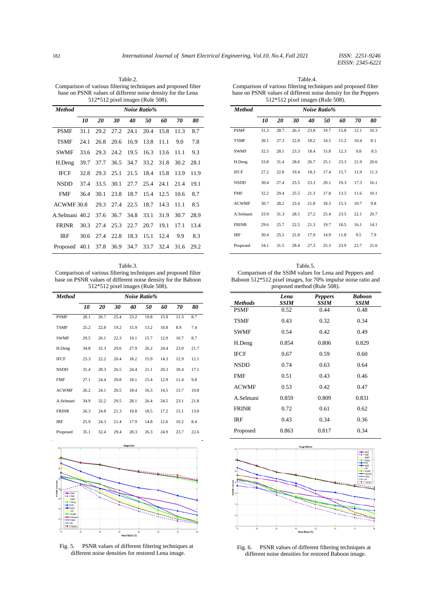Table.2. Comparison of various filtering techniques and proposed filter base on PSNR values of different noise density for the Lena 512\*512 pixel images (Rule 508).

| <b>Method</b>                |      |      |           | Noise Ratio% |      |      |      |      |
|------------------------------|------|------|-----------|--------------|------|------|------|------|
|                              | 10   | 20   | 30        | 40           | 50   | 60   | 70   | 80   |
| <b>PSMF</b>                  | 31.1 | 29.2 | 27.2 24.1 |              | 20.4 | 15.8 | 11.3 | 8.7  |
| <b>TSMF</b>                  | 24.1 | 26.8 | 20.6      | 16.9         | 13.8 | 11.1 | 9.0  | 7.8  |
| <b>SWMF</b>                  | 33.6 | 29.3 | 24.2      | 19.5         | 16.3 | 13.6 | 11.1 | 9.3  |
| H.Deng                       | 39.7 | 37.7 |           | 36.5 34.7    | 33.2 | 31.8 | 30.2 | 28.1 |
| <b>IFCF</b>                  | 32.8 | 29.3 | 25.1      | 21.5         | 18.4 | 15.8 | 13.9 | 11.9 |
| <b>NSDD</b>                  | 37.4 | 33.5 | 30.1      | 27.7         | 25.4 | 24.1 | 21.4 | 19.1 |
| <b>FMF</b>                   | 36.4 | 30.1 | 23.8      | 18.7         | 15.4 | 12.5 | 10.6 | 8.7  |
| ACWMF30.8                    |      | 29.3 | 27.4      | 22.5         | 18.7 | 14.3 | 11.1 | 8.5  |
| A.Selmani 40.2 37.6          |      |      | 36.7      | 34.8         | 33.1 | 31.9 | 30.7 | 28.9 |
| <b>FRINR</b>                 | 30.3 | 27.4 | 25.3      | 22.7         | 20.7 | 19.1 | 17.1 | 13.4 |
| <b>IRF</b>                   | 30.6 | 27.4 | 22.8      | 18.3         | 15.1 | 12.4 | 9.9  | 8.3  |
| Proposed 40.1 37.8 36.9 34.7 |      |      |           |              | 33.7 | 32.4 | 31.6 | 29.2 |

Table.3.

Comparison of various filtering techniques and proposed filter base on PSNR values of different noise density for the Baboon 512\*512 pixel images (Rule 508).

| <b>Method</b> | Noise Ratio% |      |      |      |      |      |      |      |
|---------------|--------------|------|------|------|------|------|------|------|
|               | 10           | 20   | 30   | 40   | 50   | 60   | 70   | 80   |
| <b>PSMF</b>   | 28.1         | 26.7 | 25.4 | 23.2 | 19.8 | 15.9 | 11.3 | 8.7  |
| <b>TSMF</b>   | 25.2         | 22.8 | 19.2 | 15.9 | 13.2 | 10.8 | 8.9  | 7.4  |
| <b>SWMF</b>   | 29.5         | 26.1 | 22.3 | 19.1 | 15.7 | 12.9 | 10.7 | 8.7  |
| H.Deng        | 34.8         | 32.3 | 29.6 | 27.9 | 26.2 | 24.4 | 23.0 | 21.7 |
| <b>IFCF</b>   | 23.3         | 22.2 | 20.4 | 18.2 | 15.9 | 14.3 | 12.9 | 12.1 |
| <b>NSDD</b>   | 31.4         | 28.3 | 26.5 | 24.4 | 21.1 | 20.3 | 18.4 | 17.1 |
| <b>FMF</b>    | 27.1         | 24.4 | 20.8 | 18.1 | 15.4 | 12.9 | 11.4 | 9.8  |
| <b>ACWMF</b>  | 26.2         | 24.1 | 20.5 | 18.4 | 16.3 | 14.5 | 13.7 | 10.8 |
| A.Selmani     | 34.9         | 32.2 | 29.5 | 28.1 | 26.4 | 24.5 | 23.1 | 21.8 |
| <b>FRINR</b>  | 26.3         | 24.8 | 21.3 | 19.8 | 18.5 | 17.2 | 15.1 | 13.8 |
| <b>IRF</b>    | 25.9         | 24.3 | 21.4 | 17.9 | 14.8 | 12.6 | 10.2 | 8.4  |
| Proposed      | 35.1         | 32.4 | 29.4 | 28.3 | 26.3 | 24.9 | 23.7 | 22.6 |



Fig. 5. PSNR values of different filtering techniques at different noise densities for restored Lena image.

| Table 4.                                                       |
|----------------------------------------------------------------|
| Comparison of various filtering techniques and proposed filter |
| base on PSNR values of different noise density for the Peppers |
| $512*512$ pixel images (Rule 508).                             |

| <b>Method</b> | <b>Noise Ratio%</b> |      |      |      |      |      |      |      |
|---------------|---------------------|------|------|------|------|------|------|------|
|               | 10                  | 20   | 30   | 40   | 50   | 60   | 70   | 80   |
| <b>PSMF</b>   | 31.3                | 28.7 | 26.3 | 23.8 | 19.7 | 15.8 | 12.1 | 10.3 |
| <b>TSMF</b>   | 30.1                | 27.3 | 22.8 | 18.2 | 14.5 | 11.2 | 10.4 | 8.1  |
| <b>SWMF</b>   | 32.5                | 28.1 | 23.3 | 18.4 | 15.8 | 12.3 | 9.8  | 8.5  |
| H.Deng        | 33.8                | 31.4 | 28.6 | 26.7 | 25.1 | 23.3 | 21.9 | 20.6 |
| <b>IFCF</b>   | 27.2                | 22.8 | 19.4 | 18.3 | 17.4 | 15.7 | 11.9 | 11.3 |
| <b>NSDD</b>   | 30.4                | 27.4 | 25.5 | 23.3 | 20.1 | 19.3 | 17.3 | 16.1 |
| <b>FMF</b>    | 32.2                | 29.4 | 25.5 | 21.3 | 17.8 | 13.5 | 11.6 | 10.1 |
| <b>ACWMF</b>  | 30.7                | 28.2 | 23.4 | 21.8 | 18.3 | 15.3 | 10.7 | 9.8  |
| A.Selmani     | 33.9                | 31.3 | 28.5 | 27.2 | 25.4 | 23.5 | 22.1 | 20.7 |
| <b>FRINR</b>  | 29.6                | 25.7 | 22.5 | 21.3 | 19.7 | 18.5 | 16.1 | 14.1 |
| <b>IRF</b>    | 30.4                | 25.5 | 21.8 | 17.9 | 14.9 | 11.8 | 9.5  | 7.9  |
| Proposed      | 34.1                | 31.5 | 28.4 | 27.3 | 25.3 | 23.9 | 22.7 | 21.6 |

| Table 5.                                                     |
|--------------------------------------------------------------|
| Comparison of the SSIM values for Lena and Peppers and       |
| Baboon 512*512 pixel images, for 70% impulse noise ratio and |
| proposed method (Rule 508).                                  |

| <b>Methods</b> | Lena<br>SSIM | <b>Peppers</b><br><b>SSIM</b> | <b>Baboon</b><br><b>SSIM</b> |
|----------------|--------------|-------------------------------|------------------------------|
| <b>PSMF</b>    | 0.52         | 0.44                          | 0.48                         |
| <b>TSMF</b>    | 0.43         | 0.32                          | 0.34                         |
| <b>SWMF</b>    | 0.54         | 0.42                          | 0.49                         |
| H.Deng         | 0.854        | 0.806                         | 0.829                        |
| <b>IFCF</b>    | 0.67         | 0.59                          | 0.60                         |
| <b>NSDD</b>    | 0.74         | 0.63                          | 0.64                         |
| <b>FMF</b>     | 0.51         | 0.43                          | 0.46                         |
| <b>ACWMF</b>   | 0.53         | 0.42                          | 0.47                         |
| A.Selmani      | 0.859        | 0.809                         | 0.831                        |
| <b>FRINR</b>   | 0.72         | 0.61                          | 0.62                         |
| IRF            | 0.43         | 0.34                          | 0.36                         |
| Proposed       | 0.863        | 0.817                         | 0.34                         |



Fig. 6. PSNR values of different filtering techniques at different noise densities for restored Baboon image.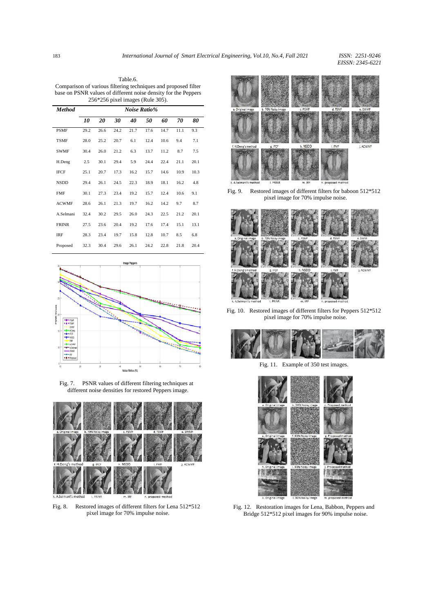Table.6. Comparison of various filtering techniques and proposed filter base on PSNR values of different noise density for the Peppers 256\*256 pixel images (Rule 305).

| <b>Method</b> | Noise Ratio% |      |      |      |      |      |      |      |
|---------------|--------------|------|------|------|------|------|------|------|
|               | 10           | 20   | 30   | 40   | 50   | 60   | 70   | 80   |
| <b>PSMF</b>   | 29.2         | 26.6 | 24.2 | 21.7 | 17.6 | 14.7 | 11.1 | 9.3  |
| <b>TSMF</b>   | 28.0         | 25.2 | 20.7 | 6.1  | 12.4 | 10.6 | 9.4  | 7.1  |
| <b>SWMF</b>   | 30.4         | 26.0 | 21.2 | 6.3  | 13.7 | 11.2 | 8.7  | 7.5  |
| H.Deng        | 2.5          | 30.1 | 29.4 | 5.9  | 24.4 | 22.4 | 21.1 | 20.1 |
| <b>IFCF</b>   | 25.1         | 20.7 | 17.3 | 16.2 | 15.7 | 14.6 | 10.9 | 10.3 |
| <b>NSDD</b>   | 29.4         | 26.1 | 24.5 | 22.3 | 18.9 | 18.1 | 16.2 | 4.8  |
| <b>FMF</b>    | 30.1         | 27.3 | 23.4 | 19.2 | 15.7 | 12.4 | 10.6 | 9.1  |
| <b>ACWMF</b>  | 28.6         | 26.1 | 21.3 | 19.7 | 16.2 | 14.2 | 9.7  | 8.7  |
| A.Selmani     | 32.4         | 30.2 | 29.5 | 26.0 | 24.3 | 22.5 | 21.2 | 20.1 |
| <b>FRINR</b>  | 27.5         | 23.6 | 20.4 | 19.2 | 17.6 | 17.4 | 15.1 | 13.1 |
| <b>IRF</b>    | 28.3         | 23.4 | 19.7 | 15.8 | 12.8 | 10.7 | 8.5  | 6.8  |
| Proposed      | 32.3         | 30.4 | 29.6 | 26.1 | 24.2 | 22.8 | 21.8 | 20.4 |







Fig. 8. Restored images of different filters for Lena 512\*512 pixel image for 70% impulse noise.



Fig. 9. Restored images of different filters for baboon 512\*512 pixel image for 70% impulse noise.



Fig. 10. Restored images of different filters for Peppers 512\*512 pixel image for 70% impulse noise.



Fig. 11. Example of 350 test images.



Fig. 12. Restoration images for Lena, Babbon, Peppers and Bridge 512\*512 pixel images for 90% impulse noise.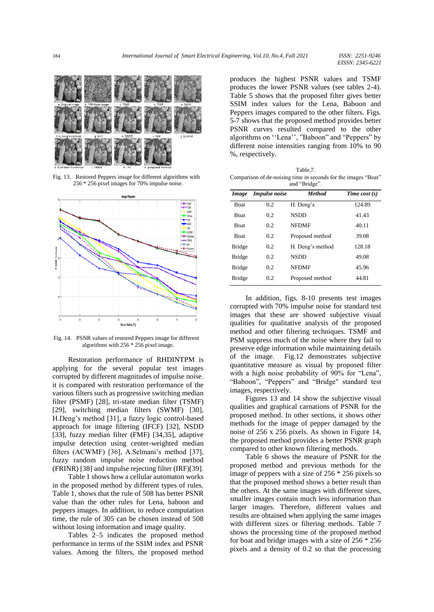

Fig. 13. Restored Peppers image for different algorithms with 256 \* 256 pixel images for 70% impulse noise.



Fig. 14. PSNR values of restored Peppers image for different algorithms with 256 \* 256 pixel image.

Restoration performance of RHDINTPM is applying for the several popular test images corrupted by different magnitudes of impulse noise. it is compared with restoration performance of the various filters such as progressive switching median filter (PSMF) [28], tri-state median filter (TSMF) [29], switching median filters (SWMF) [30], H.Deng's method [31], a fuzzy logic control-based approach for image filtering (IFCF) [32], NSDD [33], fuzzy median filter (FMF) [34,35], adaptive impulse detection using center-weighted median filters (ACWMF) [36], A.Selmani's method [37], fuzzy random impulse noise reduction method (FRINR) [38] and impulse rejecting filter (IRF)[39].

Table 1 shows how a cellular automaton works in the proposed method by different types of rules. Table 1, shows that the rule of 508 has better PSNR value than the other rules for Lena, baboon and peppers images. In addition, to reduce computation time, the rule of 305 can be chosen instead of 508 without losing information and image quality.

Tables 2–5 indicates the proposed method performance in terms of the SSIM index and PSNR values. Among the filters, the proposed method

produces the highest PSNR values and TSMF produces the lower PSNR values (see tables 2-4). Table 5 shows that the proposed filter gives better SSIM index values for the Lena, Baboon and Peppers images compared to the other filters. Figs. 5-7 shows that the proposed method provides better PSNR curves resulted compared to the other algorithms on ''Lena'', "Baboon" and "Peppers" by different noise intensities ranging from 10% to 90 %, respectively.

| Table 7.                                                       |
|----------------------------------------------------------------|
| Comparison of de-noising time in seconds for the images "Boat" |
| and "Bridge".                                                  |

| Image         | <b>Impulse</b> noise | <b>Method</b>    | Time cost $(s)$ |
|---------------|----------------------|------------------|-----------------|
| <b>Boat</b>   | 0.2                  | H. Deng's        | 124.89          |
| <b>Boat</b>   | 0.2                  | <b>NSDD</b>      | 41.43           |
| <b>Boat</b>   | 0.2                  | <b>NFDMF</b>     | 40.11           |
| <b>Boat</b>   | 0.2                  | Proposed method  | 39.08           |
| <b>Bridge</b> | 0.2                  | H. Deng's method | 128.18          |
| <b>Bridge</b> | 0.2                  | <b>NSDD</b>      | 49.08           |
| <b>Bridge</b> | 0.2                  | NFDMF            | 45.96           |
| <b>Bridge</b> | 0.2                  | Proposed method  | 44.81           |

In addition, figs. 8-10 presents test images corrupted with 70% impulse noise for standard test images that these are showed subjective visual qualities for qualitative analysis of the proposed method and other filtering techniques. TSMF and PSM suppress much of the noise where they fail to preserve edge information while maintaining details of the image. Fig.12 demonstrates subjective quantitative measure as visual by proposed filter with a high noise probability of 90% for "Lena", "Baboon", "Peppers" and "Bridge" standard test images, respectively.

Figures 13 and 14 show the subjective visual qualities and graphical carnations of PSNR for the proposed method. In other sections, it shows other methods for the image of pepper damaged by the noise of 256 x 256 pixels. As shown in Figure 14, the proposed method provides a better PSNR graph compared to other known filtering methods.

Table 6 shows the measure of PSNR for the proposed method and previous methods for the image of peppers with a size of 256 \* 256 pixels so that the proposed method shows a better result than the others. At the same images with different sizes, smaller images contain much less information than larger images. Therefore, different values and results are obtained when applying the same images with different sizes or filtering methods. Table 7 shows the processing time of the proposed method for boat and bridge images with a size of 256 \* 256 pixels and a density of 0.2 so that the processing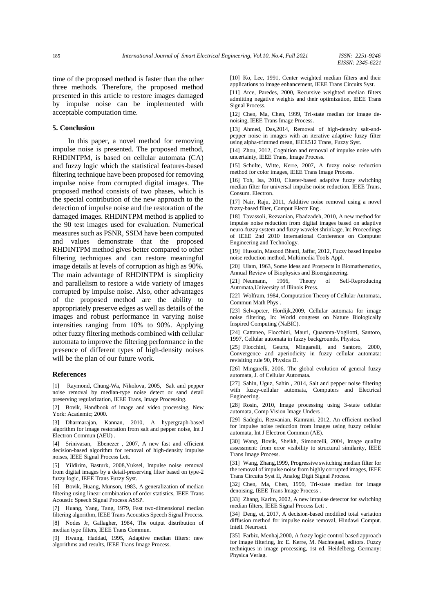time of the proposed method is faster than the other three methods. Therefore, the proposed method presented in this article to restore images damaged by impulse noise can be implemented with acceptable computation time.

#### **5. Conclusion**

In this paper, a novel method for removing impulse noise is presented. The proposed method, RHDINTPM, is based on cellular automata (CA) and fuzzy logic which the statistical features-based filtering technique have been proposed for removing impulse noise from corrupted digital images. The proposed method consists of two phases, which is the special contribution of the new approach to the detection of impulse noise and the restoration of the damaged images. RHDINTPM method is applied to the 90 test images used for evaluation. Numerical measures such as PSNR, SSIM have been computed and values demonstrate that the proposed RHDINTPM method gives better compared to other filtering techniques and can restore meaningful image details at levels of corruption as high as 90%. The main advantage of RHDINTPM is simplicity and parallelism to restore a wide variety of images corrupted by impulse noise. Also, other advantages of the proposed method are the ability to appropriately preserve edges as well as details of the images and robust performance in varying noise intensities ranging from 10% to 90%. Applying other fuzzy filtering methods combined with cellular automata to improve the filtering performance in the presence of different types of high-density noises will be the plan of our future work.

#### **References**

[1] Raymond, Chung-Wa, Nikolova, 2005, Salt and pepper noise removal by median-type noise detect or sand detail preserving regularization, IEEE Trans, Image Processing.

[2] Bovik, Handbook of image and video processing, New York: Academic; 2000.

[3] Dharmarajan, Kannan, 2010, A hypergraph-based algorithm for image restoration from salt and pepper noise, Int J Electron Commun (AEU) .

[4] Srinivasan, Ebenezer , 2007, A new fast and efficient decision-based algorithm for removal of high-density impulse noises, IEEE Signal Process Lett.

[5] Yildirim, Basturk, 2008,Yuksel, Impulse noise removal from digital images by a detail-preserving filter based on type-2 fuzzy logic, IEEE Trans Fuzzy Syst.

[6] Bovik, Huang, Munson, 1983, A generalization of median filtering using linear combination of order statistics, IEEE Trans Acoustic Speech Signal Process ASSP.

[7] Huang, Yang, Tang, 1979, Fast two-dimensional median filtering algorithm, IEEE Trans Acoustics Speech Signal Process.

[8] Nodes Jr, Gallagher, 1984, The output distribution of median type filters, IEEE Trans Commun.

[9] Hwang, Haddad, 1995, Adaptive median filters: new algorithms and results, IEEE Trans Image Process.

[10] Ko, Lee, 1991, Center weighted median filters and their applications to image enhancement, IEEE Trans Circuits Syst.

[11] Arce, Paredes, 2000, Recursive weighted median filters admitting negative weights and their optimization, IEEE Trans Signal Process.

[12] Chen, Ma, Chen, 1999, Tri-state median for image denoising, IEEE Trans Image Process.

[13] Ahmed, Das, 2014, Removal of high-density salt-andpepper noise in images with an iterative adaptive fuzzy filter using alpha-trimmed mean, IEEE512 Trans, Fuzzy Syst.

[14] Zhou, 2012, Cognition and removal of impulse noise with uncertainty, IEEE Trans, Image Process.

[15] Schulte, Witte, Kerre, 2007, A fuzzy noise reduction method for color images, IEEE Trans Image Process.

[16] Toh, Isa, 2010, Cluster-based adaptive fuzzy switching median filter for universal impulse noise reduction, IEEE Trans, Consum. Electron.

[17] Nair, Raju, 2011, Additive noise removal using a novel fuzzy-based filter, Comput Electr Eng .

[18] Tavassoli, Rezvanian, Ebadzadeh, 2010, A new method for impulse noise reduction from digital images based on adaptive neuro-fuzzy system and fuzzy wavelet shrinkage, In: Proceedings of IEEE 2nd 2010 International Conference on Computer Engineering and Technology.

[19] Hussain, Masood Bhatti, Jaffar, 2012, Fuzzy based impulse noise reduction method, Multimedia Tools Appl.

[20] Ulam, 1963, Some Ideas and Prospects in Biomathematics, Annual Review of Biophysics and Bioengineering.

[21] Neumann, 1966, Theory of Self-Reproducing Automata,University of Illinois Press.

[22] Wolfram, 1984, Computation Theory of Cellular Automata, Commun Math Phys .

[23] Selvapeter, Hordijk,2009, Cellular automata for image noise filtering, In: World congress on Nature Biologically Inspired Computing (NaBIC).

[24] Cattaneo, Flocchini, Mauri, Quaranta-Vogliotti, Santoro, 1997, Cellular automata in fuzzy backgrounds, Physica.

[25] Flocchini, Geurts, Mingarelli, and Santoro, 2000, Convergence and aperiodicity in fuzzy cellular automata: revisiting rule 90, Physica D.

[26] Mingarelli, 2006, The global evolution of general fuzzy automata, J. of Cellular Automata.

[27] Sahin, Uguz, Sahin , 2014, Salt and pepper noise filtering with fuzzy-cellular automata, Computers and Electrical Engineering.

[28] Rosin, 2010, Image processing using 3-state cellular automata, Comp Vision Image Unders .

[29] Sadeghi, Rezvanian, Kamrani, 2012, An efficient method for impulse noise reduction from images using fuzzy cellular automata, Int J Electron Commun (AE).

[30] Wang, Bovik, Sheikh, Simoncelli, 2004, Image quality assessment: from error visibility to structural similarity, IEEE Trans Image Process.

[31] Wang, Zhang,1999, Progressive switching median filter for the removal of impulse noise from highly corrupted images, IEEE Trans Circuits Syst II, Analog Digit Signal Process.

[32] Chen, Ma, Chen, 1999, Tri-state median for image denoising, IEEE Trans Image Process .

[33] Zhang, Karim, 2002, A new impulse detector for switching median filters, IEEE Signal Process Lett .

[34] Deng, et, 2017, A decision-based modified total variation diffusion method for impulse noise removal, Hindawi Comput. Intell. Neurosci.

[35] Farbiz, Menhaj, 2000, A fuzzy logic control based approach for image filtering, In: E. Kerre, M. Nachtegael, editors. Fuzzy techniques in image processing, 1st ed. Heidelberg, Germany: Physica Verlag.